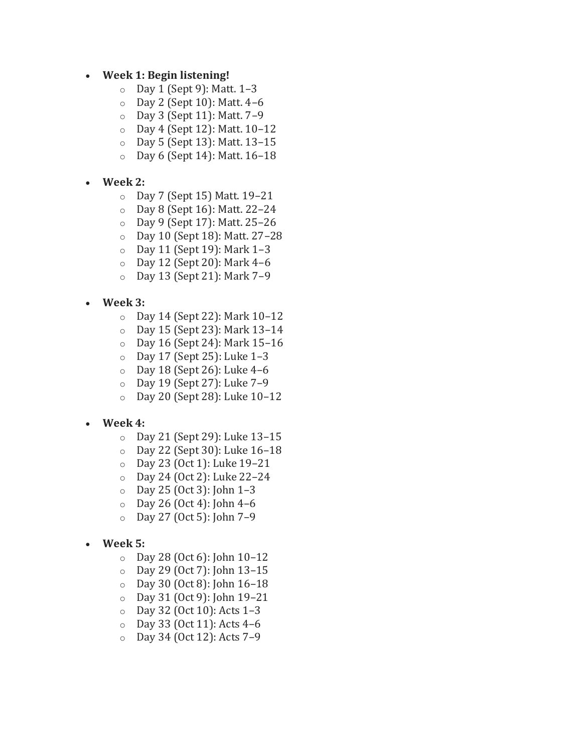## • **Week 1: Begin listening!**

- o Day 1 (Sept 9): Matt. 1–3
- o Day 2 (Sept 10): Matt. 4–6
- o Day 3 (Sept 11): Matt. 7–9
- o Day 4 (Sept 12): Matt. 10–12
- o Day 5 (Sept 13): Matt. 13–15
- o Day 6 (Sept 14): Matt. 16–18
- **Week 2:**
	- o Day 7 (Sept 15) Matt. 19–21
	- o Day 8 (Sept 16): Matt. 22–24
	- o Day 9 (Sept 17): Matt. 25–26
	- o Day 10 (Sept 18): Matt. 27–28
	- o Day 11 (Sept 19): Mark 1–3
	- o Day 12 (Sept 20): Mark 4–6
	- o Day 13 (Sept 21): Mark 7–9
- **Week 3:**
	- o Day 14 (Sept 22): Mark 10–12
	- o Day 15 (Sept 23): Mark 13–14
	- o Day 16 (Sept 24): Mark 15–16
	- o Day 17 (Sept 25): Luke 1–3
	- $\circ$  Day 18 (Sept 26): Luke 4-6
	- o Day 19 (Sept 27): Luke 7–9
	- o Day 20 (Sept 28): Luke 10–12

## • **Week 4:**

- o Day 21 (Sept 29): Luke 13–15
- o Day 22 (Sept 30): Luke 16–18
- o Day 23 (Oct 1): Luke 19–21
- o Day 24 (Oct 2): Luke 22–24
- o Day 25 (Oct 3): John 1–3
- $O$  Day 26 (Oct 4): John 4–6
- o Day 27 (Oct 5): John 7–9
- **Week 5:**
	- o Day 28 (Oct 6): John 10–12
	- o Day 29 (Oct 7): John 13–15
	- o Day 30 (Oct 8): John 16–18
	- o Day 31 (Oct 9): John 19–21
	- o Day 32 (Oct 10): Acts 1–3
	- o Day 33 (Oct 11): Acts 4–6
	- o Day 34 (Oct 12): Acts 7–9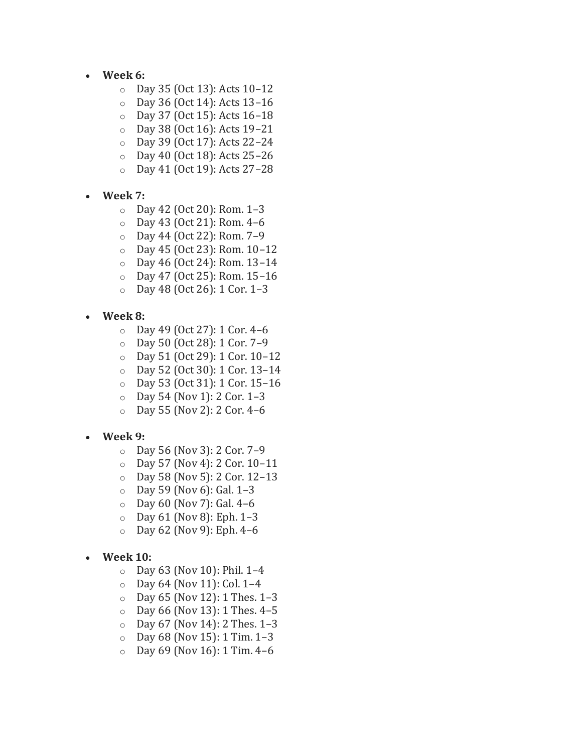- **Week 6:**
	- o Day 35 (Oct 13): Acts 10–12
	- o Day 36 (Oct 14): Acts 13–16
	- o Day 37 (Oct 15): Acts 16–18
	- o Day 38 (Oct 16): Acts 19–21
	- o Day 39 (Oct 17): Acts 22–24
	- o Day 40 (Oct 18): Acts 25–26
	- o Day 41 (Oct 19): Acts 27–28
- **Week 7:**
	- o Day 42 (Oct 20): Rom. 1–3
	- o Day 43 (Oct 21): Rom. 4–6
	- o Day 44 (Oct 22): Rom. 7–9
	- o Day 45 (Oct 23): Rom. 10–12
	- o Day 46 (Oct 24): Rom. 13–14
	- o Day 47 (Oct 25): Rom. 15–16
	- o Day 48 (Oct 26): 1 Cor. 1–3
- **Week 8:**
	- o Day 49 (Oct 27): 1 Cor. 4–6
	- o Day 50 (Oct 28): 1 Cor. 7–9
	- o Day 51 (Oct 29): 1 Cor. 10–12
	- o Day 52 (Oct 30): 1 Cor. 13–14
	- o Day 53 (Oct 31): 1 Cor. 15–16
	- o Day 54 (Nov 1): 2 Cor. 1–3
	- o Day 55 (Nov 2): 2 Cor. 4–6
- **Week 9:**
	- o Day 56 (Nov 3): 2 Cor. 7–9
	- o Day 57 (Nov 4): 2 Cor. 10–11
	- o Day 58 (Nov 5): 2 Cor. 12–13
	- o Day 59 (Nov 6): Gal. 1–3
	- $\circ$  Day 60 (Nov 7): Gal. 4–6
	- o Day 61 (Nov 8): Eph. 1–3
	- o Day 62 (Nov 9): Eph. 4–6
- **Week 10:**
	- $O$  Day 63 (Nov 10): Phil. 1–4
	- o Day 64 (Nov 11): Col. 1–4
	- o Day 65 (Nov 12): 1 Thes. 1–3
	- o Day 66 (Nov 13): 1 Thes. 4–5
	- $O$  Day 67 (Nov 14): 2 Thes. 1–3
	- $O$  Day 68 (Nov 15): 1 Tim. 1-3
	- $O$  Day 69 (Nov 16): 1 Tim. 4–6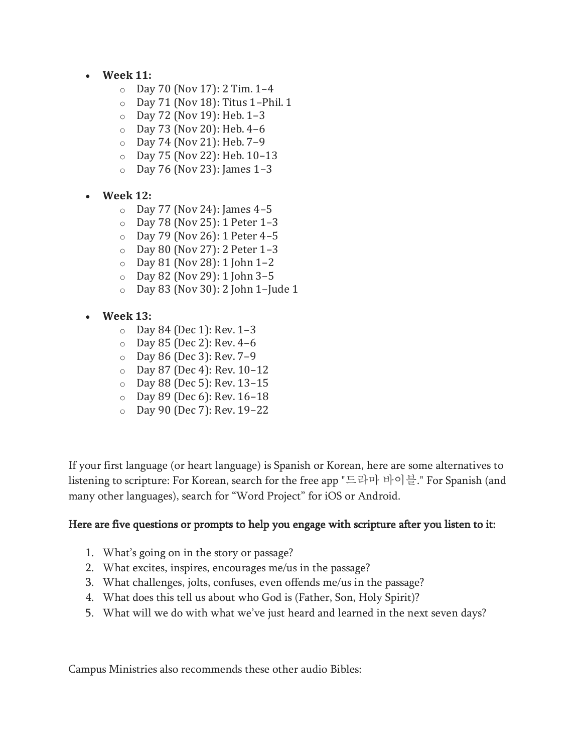- **Week 11:**
	- o Day 70 (Nov 17): 2 Tim. 1–4
	- o Day 71 (Nov 18): Titus 1–Phil. 1
	- o Day 72 (Nov 19): Heb. 1–3
	- o Day 73 (Nov 20): Heb. 4–6
	- o Day 74 (Nov 21): Heb. 7–9
	- o Day 75 (Nov 22): Heb. 10–13
	- o Day 76 (Nov 23): James 1–3
- **Week 12:**
	- $\circ$  Day 77 (Nov 24): James 4–5
	- o Day 78 (Nov 25): 1 Peter 1–3
	- o Day 79 (Nov 26): 1 Peter 4–5
	- o Day 80 (Nov 27): 2 Peter 1–3
	- $\circ$  Day 81 (Nov 28): 1 John 1-2
	- o Day 82 (Nov 29): 1 John 3–5
	- o Day 83 (Nov 30): 2 John 1–Jude 1
- **Week 13:**
	- o Day 84 (Dec 1): Rev. 1–3
	- o Day 85 (Dec 2): Rev. 4–6
	- o Day 86 (Dec 3): Rev. 7–9
	- o Day 87 (Dec 4): Rev. 10–12
	- o Day 88 (Dec 5): Rev. 13–15
	- o Day 89 (Dec 6): Rev. 16–18
	- o Day 90 (Dec 7): Rev. 19–22

If your first language (or heart language) is Spanish or Korean, here are some alternatives to listening to scripture: For Korean, search for the free app "드라마 바이블." For Spanish (and many other languages), search for "Word Project" for iOS or Android.

## Here are five questions or prompts to help you engage with scripture after you listen to it:

- 1. What's going on in the story or passage?
- 2. What excites, inspires, encourages me/us in the passage?
- 3. What challenges, jolts, confuses, even offends me/us in the passage?
- 4. What does this tell us about who God is (Father, Son, Holy Spirit)?
- 5. What will we do with what we've just heard and learned in the next seven days?

Campus Ministries also recommends these other audio Bibles: